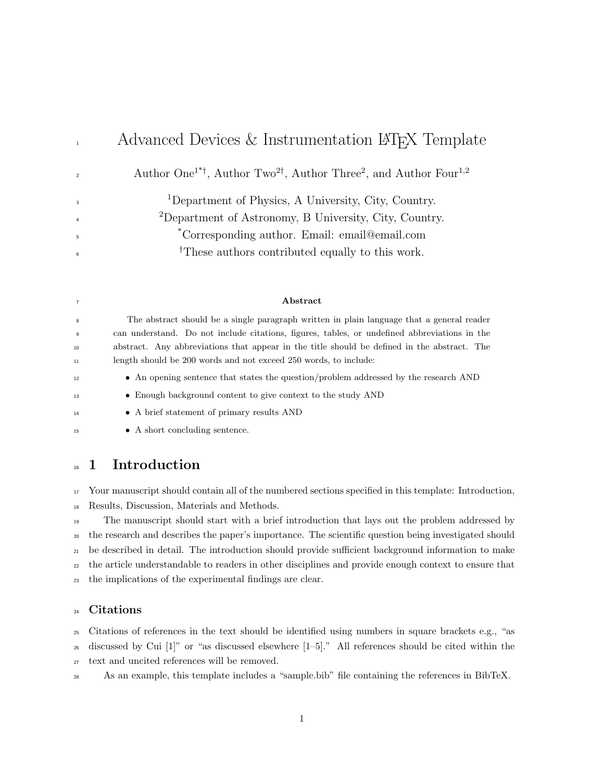# Advanced Devices & Instrumentation LAT<sub>EX</sub> Template

Author One<sup>1\*†</sup>, Author Two<sup>2†</sup>, Author Three<sup>2</sup>, and Author Four<sup>1,2</sup>

Department of Physics, A University, City, Country. Department of Astronomy, B University, City, Country.

\* Corresponding author. Email: email@email.com

<sup>†</sup>These authors contributed equally to this work.

#### Abstract

 The abstract should be a single paragraph written in plain language that a general reader can understand. Do not include citations, figures, tables, or undefined abbreviations in the abstract. Any abbreviations that appear in the title should be defined in the abstract. The length should be 200 words and not exceed 250 words, to include:

- <sup>12</sup> An opening sentence that states the question/problem addressed by the research AND
- Enough background content to give context to the study AND
- 

- A brief statement of primary results AND • A short concluding sentence.
- <sup>16</sup> 1 Introduction

 Your manuscript should contain all of the numbered sections specified in this template: Introduction, Results, Discussion, Materials and Methods.

 The manuscript should start with a brief introduction that lays out the problem addressed by the research and describes the paper's importance. The scientific question being investigated should be described in detail. The introduction should provide sufficient background information to make the article understandable to readers in other disciplines and provide enough context to ensure that the implications of the experimental findings are clear.

### Citations

 Citations of references in the text should be identified using numbers in square brackets e.g., "as discussed by Cui [1]" or "as discussed elsewhere [1–5]." All references should be cited within the

text and uncited references will be removed.

As an example, this template includes a "sample.bib" file containing the references in BibTeX.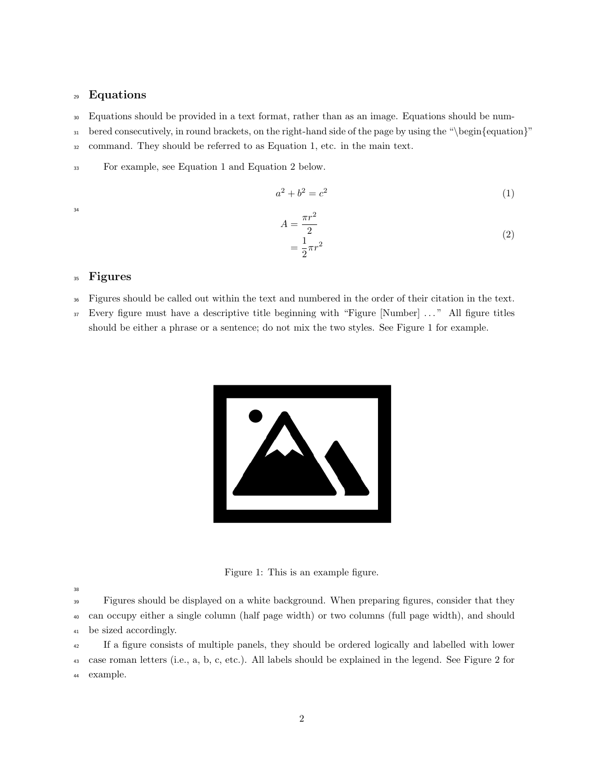### Equations

Equations should be provided in a text format, rather than as an image. Equations should be num-

bered consecutively, in round brackets, on the right-hand side of the page by using the "\begin{equation}"

command. They should be referred to as Equation 1, etc. in the main text.

For example, see Equation 1 and Equation 2 below.

 $a^2 + b^2 = c^2$ (1)

$$
A = \frac{\pi r^2}{2}
$$
  
= 
$$
\frac{1}{2}\pi r^2
$$
 (2)

### Figures

- Figures should be called out within the text and numbered in the order of their citation in the text.
- Every figure must have a descriptive title beginning with "Figure [Number] . . . " All figure titles should be either a phrase or a sentence; do not mix the two styles. See Figure 1 for example.



Figure 1: This is an example figure.

 Figures should be displayed on a white background. When preparing figures, consider that they can occupy either a single column (half page width) or two columns (full page width), and should be sized accordingly.

If a figure consists of multiple panels, they should be ordered logically and labelled with lower

 case roman letters (i.e., a, b, c, etc.). All labels should be explained in the legend. See Figure 2 for example.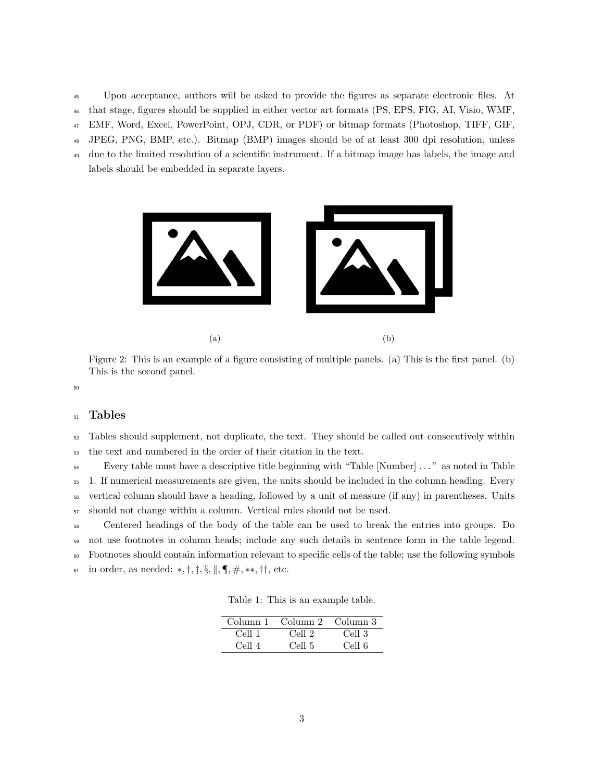- Upon acceptance, authors will be asked to provide the figures as separate electronic files. At
- that stage, figures should be supplied in either vector art formats (PS, EPS, FIG, AI, Visio, WMF,
- EMF, Word, Excel, PowerPoint, OPJ, CDR, or PDF) or bitmap formats (Photoshop, TIFF, GIF,
- JPEG, PNG, BMP, etc.). Bitmap (BMP) images should be of at least 300 dpi resolution, unless
- due to the limited resolution of a scientific instrument. If a bitmap image has labels, the image and
- labels should be embedded in separate layers.



Figure 2: This is an example of a figure consisting of multiple panels. (a) This is the first panel. (b) This is the second panel.

#### 

### Tables

### Tables should supplement, not duplicate, the text. They should be called out consecutively within the text and numbered in the order of their citation in the text.

Every table must have a descriptive title beginning with "Table [Number] . . . " as noted in Table

1. If numerical measurements are given, the units should be included in the column heading. Every

vertical column should have a heading, followed by a unit of measure (if any) in parentheses. Units

should not change within a column. Vertical rules should not be used.

 Centered headings of the body of the table can be used to break the entries into groups. Do not use footnotes in column heads; include any such details in sentence form in the table legend.

Footnotes should contain information relevant to specific cells of the table; use the following symbols

61 in order, as needed: \*,  $\dagger$ ,  $\ddagger$ ,  $\S$ ,  $\|\,$ ,  $\P$ ,  $\#$ , \*\*,  $\dagger\dagger$ , etc.

|  |  |  |  | Table 1: This is an example table. |  |
|--|--|--|--|------------------------------------|--|
|--|--|--|--|------------------------------------|--|

| Column 1                      | Column 2 Column 3 |        |
|-------------------------------|-------------------|--------|
| Cell 1                        | Cell 2            | Cell 3 |
| $C_{\mathsf{P}}$ ll $\Lambda$ | Cell 5            | Cell 6 |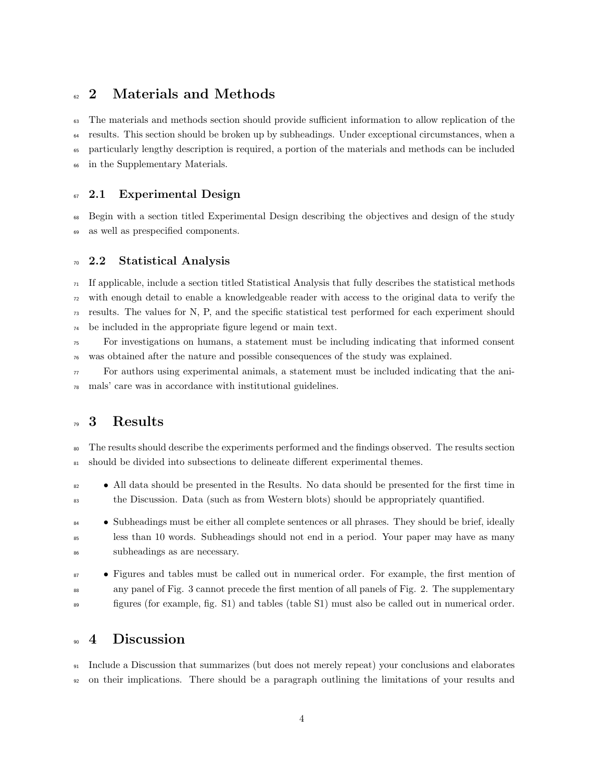## <sup>62</sup> 2 Materials and Methods

 The materials and methods section should provide sufficient information to allow replication of the results. This section should be broken up by subheadings. Under exceptional circumstances, when a particularly lengthy description is required, a portion of the materials and methods can be included in the Supplementary Materials.

### <sup>67</sup> 2.1 Experimental Design

 Begin with a section titled Experimental Design describing the objectives and design of the study as well as prespecified components.

#### 2.2 Statistical Analysis

 If applicable, include a section titled Statistical Analysis that fully describes the statistical methods with enough detail to enable a knowledgeable reader with access to the original data to verify the results. The values for N, P, and the specific statistical test performed for each experiment should be included in the appropriate figure legend or main text.

 For investigations on humans, a statement must be including indicating that informed consent was obtained after the nature and possible consequences of the study was explained.

 $\pi$  For authors using experimental animals, a statement must be included indicating that the ani-mals' care was in accordance with institutional guidelines.

# 3 Results

 The results should describe the experiments performed and the findings observed. The results section should be divided into subsections to delineate different experimental themes.

• All data should be presented in the Results. No data should be presented for the first time in the Discussion. Data (such as from Western blots) should be appropriately quantified.

84 • Subheadings must be either all complete sentences or all phrases. They should be brief, ideally less than 10 words. Subheadings should not end in a period. Your paper may have as many subheadings as are necessary.

 • Figures and tables must be called out in numerical order. For example, the first mention of any panel of Fig. 3 cannot precede the first mention of all panels of Fig. 2. The supplementary figures (for example, fig. S1) and tables (table S1) must also be called out in numerical order.

### <sub>90</sub> 4 Discussion

 Include a Discussion that summarizes (but does not merely repeat) your conclusions and elaborates on their implications. There should be a paragraph outlining the limitations of your results and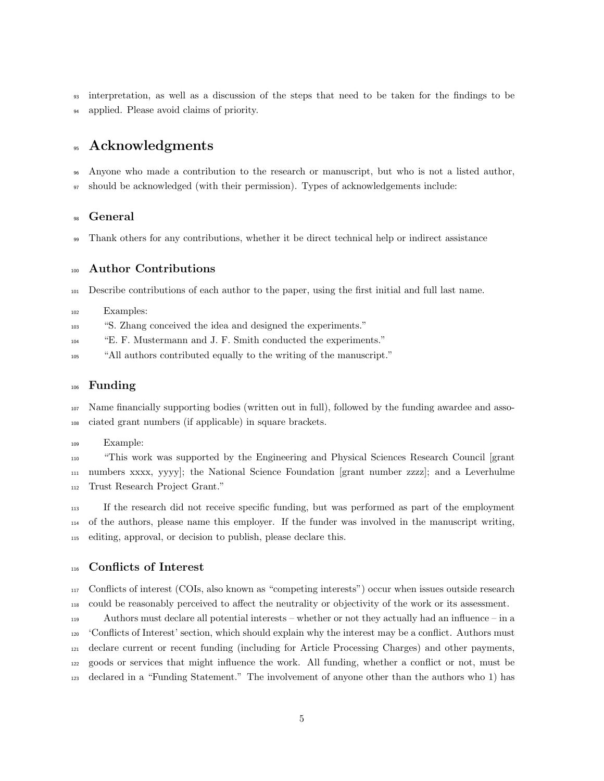interpretation, as well as a discussion of the steps that need to be taken for the findings to be applied. Please avoid claims of priority.

### Acknowledgments

 Anyone who made a contribution to the research or manuscript, but who is not a listed author, should be acknowledged (with their permission). Types of acknowledgements include:

### General

Thank others for any contributions, whether it be direct technical help or indirect assistance

#### Author Contributions

Describe contributions of each author to the paper, using the first initial and full last name.

- Examples:
- "S. Zhang conceived the idea and designed the experiments."
- "E. F. Mustermann and J. F. Smith conducted the experiments."
- "All authors contributed equally to the writing of the manuscript."

#### Funding

 Name financially supporting bodies (written out in full), followed by the funding awardee and asso-ciated grant numbers (if applicable) in square brackets.

Example:

 "This work was supported by the Engineering and Physical Sciences Research Council [grant numbers xxxx, yyyy]; the National Science Foundation [grant number zzzz]; and a Leverhulme Trust Research Project Grant."

 If the research did not receive specific funding, but was performed as part of the employment of the authors, please name this employer. If the funder was involved in the manuscript writing, editing, approval, or decision to publish, please declare this.

#### Conflicts of Interest

 Conflicts of interest (COIs, also known as "competing interests") occur when issues outside research could be reasonably perceived to affect the neutrality or objectivity of the work or its assessment.

 Authors must declare all potential interests – whether or not they actually had an influence – in a 'Conflicts of Interest' section, which should explain why the interest may be a conflict. Authors must declare current or recent funding (including for Article Processing Charges) and other payments, goods or services that might influence the work. All funding, whether a conflict or not, must be declared in a "Funding Statement." The involvement of anyone other than the authors who 1) has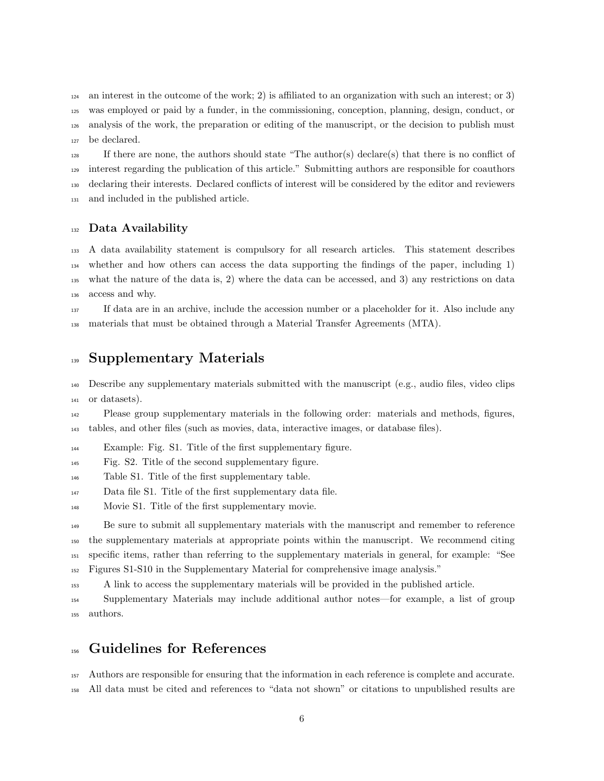an interest in the outcome of the work; 2) is affiliated to an organization with such an interest; or 3) was employed or paid by a funder, in the commissioning, conception, planning, design, conduct, or analysis of the work, the preparation or editing of the manuscript, or the decision to publish must be declared.

 If there are none, the authors should state "The author(s) declare(s) that there is no conflict of interest regarding the publication of this article." Submitting authors are responsible for coauthors declaring their interests. Declared conflicts of interest will be considered by the editor and reviewers and included in the published article.

#### Data Availability

 A data availability statement is compulsory for all research articles. This statement describes whether and how others can access the data supporting the findings of the paper, including 1) what the nature of the data is, 2) where the data can be accessed, and 3) any restrictions on data access and why.

 If data are in an archive, include the accession number or a placeholder for it. Also include any materials that must be obtained through a Material Transfer Agreements (MTA).

### Supplementary Materials

 Describe any supplementary materials submitted with the manuscript (e.g., audio files, video clips or datasets).

 Please group supplementary materials in the following order: materials and methods, figures, tables, and other files (such as movies, data, interactive images, or database files).

<sup>144</sup> Example: Fig. S1. Title of the first supplementary figure.

Fig. S2. Title of the second supplementary figure.

Table S1. Title of the first supplementary table.

Data file S1. Title of the first supplementary data file.

Movie S1. Title of the first supplementary movie.

 Be sure to submit all supplementary materials with the manuscript and remember to reference the supplementary materials at appropriate points within the manuscript. We recommend citing specific items, rather than referring to the supplementary materials in general, for example: "See Figures S1-S10 in the Supplementary Material for comprehensive image analysis."

A link to access the supplementary materials will be provided in the published article.

 Supplementary Materials may include additional author notes—for example, a list of group authors.

### Guidelines for References

 Authors are responsible for ensuring that the information in each reference is complete and accurate. All data must be cited and references to "data not shown" or citations to unpublished results are